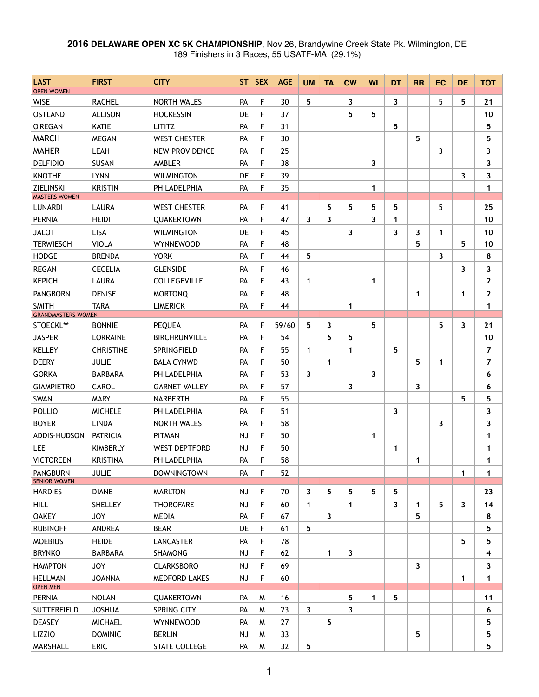## **2016 DELAWARE OPEN XC 5K CHAMPIONSHIP**, Nov 26, Brandywine Creek State Pk. Wilmington, DE 189 Finishers in 3 Races, 55 USATF-MA (29.1%)

| <b>LAST</b>                            | <b>FIRST</b>     | <b>CITY</b>           | ST        | <b>SEX</b> | <b>AGE</b> | <b>UM</b>    | <b>TA</b> | $CM$         | WI           | <b>DT</b> | <b>RR</b>    | <b>EC</b> | <b>DE</b> | <b>TOT</b>     |
|----------------------------------------|------------------|-----------------------|-----------|------------|------------|--------------|-----------|--------------|--------------|-----------|--------------|-----------|-----------|----------------|
| <b>OPEN WOMEN</b>                      |                  |                       |           |            |            |              |           |              |              |           |              |           |           |                |
| <b>WISE</b>                            | <b>RACHEL</b>    | <b>NORTH WALES</b>    | PA        | F          | 30         | 5            |           | 3            |              | 3         |              | 5         | 5         | 21             |
| <b>OSTLAND</b>                         | <b>ALLISON</b>   | <b>HOCKESSIN</b>      | <b>DE</b> | F          | 37         |              |           | 5            | 5            |           |              |           |           | 10             |
| <b>O'REGAN</b>                         | <b>KATIE</b>     | <b>LITITZ</b>         | PA        | F          | 31         |              |           |              |              | 5         |              |           |           | 5              |
| <b>MARCH</b>                           | <b>MEGAN</b>     | <b>WEST CHESTER</b>   | PA        | F          | 30         |              |           |              |              |           | 5            |           |           | 5              |
| <b>MAHER</b>                           | LEAH             | <b>NEW PROVIDENCE</b> | PA        | F          | 25         |              |           |              |              |           |              | 3         |           | 3              |
| <b>DELFIDIO</b>                        | <b>SUSAN</b>     | AMBLER                | PA        | F          | 38         |              |           |              | 3            |           |              |           |           | 3              |
| <b>KNOTHE</b>                          | <b>LYNN</b>      | <b>WILMINGTON</b>     | <b>DE</b> | F          | 39         |              |           |              |              |           |              |           | 3         | 3              |
| <b>ZIELINSKI</b>                       | <b>KRISTIN</b>   | PHILADELPHIA          | PA        | F          | 35         |              |           |              | $\mathbf{1}$ |           |              |           |           | $\mathbf{1}$   |
| <b>MASTERS WOMEN</b><br><b>LUNARDI</b> | <b>LAURA</b>     | <b>WEST CHESTER</b>   | PA        | F          | 41         |              | 5         | 5            | 5            | 5         |              | 5         |           | 25             |
| <b>PERNIA</b>                          | <b>HEIDI</b>     | <b>QUAKERTOWN</b>     | PA        | F          | 47         | 3            | 3         |              | 3            | 1         |              |           |           | 10             |
| <b>JALOT</b>                           | <b>LISA</b>      | <b>WILMINGTON</b>     | DE        | F          | 45         |              |           | 3            |              | 3         | 3            | 1         |           | 10             |
| <b>TERWIESCH</b>                       | <b>VIOLA</b>     | <b>WYNNEWOOD</b>      | PA        | F          | 48         |              |           |              |              |           | 5            |           | 5         | 10             |
| <b>HODGE</b>                           | <b>BRENDA</b>    | <b>YORK</b>           | PA        | F          | 44         | 5            |           |              |              |           |              | 3         |           | 8              |
| <b>REGAN</b>                           | <b>CECELIA</b>   | <b>GLENSIDE</b>       | PA        | F          | 46         |              |           |              |              |           |              |           | 3         | 3              |
| <b>KEPICH</b>                          | <b>LAURA</b>     | <b>COLLEGEVILLE</b>   | PA        | F          | 43         | $\mathbf 1$  |           |              | $\mathbf 1$  |           |              |           |           | $\mathbf{2}$   |
| <b>PANGBORN</b>                        | <b>DENISE</b>    | <b>MORTONQ</b>        | PA        | F          | 48         |              |           |              |              |           | 1            |           | 1         | $\mathbf{2}$   |
| <b>SMITH</b>                           | <b>TARA</b>      | <b>LIMERICK</b>       | PA        | F          | 44         |              |           | $\mathbf{1}$ |              |           |              |           |           | 1              |
| <b>GRANDMASTERS WOMEN</b>              |                  |                       |           |            |            |              |           |              |              |           |              |           |           |                |
| STOECKL**                              | <b>BONNIE</b>    | <b>PEQUEA</b>         | PA        | F          | 59/60      | 5            | 3         |              | 5            |           |              | 5.        | 3         | 21             |
| <b>JASPER</b>                          | <b>LORRAINE</b>  | <b>BIRCHRUNVILLE</b>  | PA        | F          | 54         |              | 5         | 5            |              |           |              |           |           | 10             |
| <b>KELLEY</b>                          | <b>CHRISTINE</b> | SPRINGFIELD           | PA        | F          | 55         | $\mathbf 1$  |           | 1            |              | 5         |              |           |           | 7              |
| <b>DEERY</b>                           | <b>JULIE</b>     | <b>BALA CYNWD</b>     | PA        | F          | 50         |              | 1         |              |              |           | 5            | 1         |           | $\overline{7}$ |
| <b>GORKA</b>                           | <b>BARBARA</b>   | PHILADELPHIA          | PA        | F          | 53         | 3            |           |              | 3            |           |              |           |           | 6              |
| <b>GIAMPIETRO</b>                      | <b>CAROL</b>     | <b>GARNET VALLEY</b>  | PA        | F          | 57         |              |           | 3            |              |           | 3            |           |           | 6              |
| SWAN                                   | <b>MARY</b>      | <b>NARBERTH</b>       | PA        | F          | 55         |              |           |              |              |           |              |           | 5         | 5              |
| <b>POLLIO</b>                          | <b>MICHELE</b>   | PHILADELPHIA          | PA        | F          | 51         |              |           |              |              | 3         |              |           |           | 3              |
| <b>BOYER</b>                           | <b>LINDA</b>     | <b>NORTH WALES</b>    | PA        | F          | 58         |              |           |              |              |           |              | 3         |           | 3              |
| ADDIS-HUDSON                           | <b>PATRICIA</b>  | <b>PITMAN</b>         | <b>NJ</b> | F          | 50         |              |           |              | 1            |           |              |           |           | 1              |
| LEE                                    | <b>KIMBERLY</b>  | <b>WEST DEPTFORD</b>  | NJ        | F          | 50         |              |           |              |              | 1         |              |           |           | 1              |
| <b>VICTOREEN</b>                       | <b>KRISTINA</b>  | PHILADELPHIA          | PA        | F          | 58         |              |           |              |              |           | 1            |           |           | 1              |
| <b>PANGBURN</b><br><b>SENIOR WOMEN</b> | <b>JULIE</b>     | <b>DOWNINGTOWN</b>    | PA        | F          | 52         |              |           |              |              |           |              |           | 1         | 1              |
| <b>HARDIES</b>                         | <b>DIANE</b>     | <b>MARLTON</b>        | <b>NJ</b> | F          | 70         | 3            | 5         | 5            | 5            | 5         |              |           |           | 23             |
| <b>HILL</b>                            | <b>SHELLEY</b>   | <b>THOROFARE</b>      | <b>NJ</b> | F          | 60         | $\mathbf 1$  |           | 1            |              | 3         | 1            | 5         | 3         | 14             |
| <b>OAKEY</b>                           | <b>JOY</b>       | <b>MEDIA</b>          | PA        | F          | 67         |              | 3         |              |              |           | 5            |           |           | 8              |
| <b>RUBINOFF</b>                        | <b>ANDREA</b>    | <b>BEAR</b>           | DE        | F          | 61         | 5            |           |              |              |           |              |           |           | 5              |
| <b>MOEBIUS</b>                         | <b>HEIDE</b>     | <b>LANCASTER</b>      | PA        | F          | 78         |              |           |              |              |           |              |           | 5         | 5              |
| <b>BRYNKO</b>                          | <b>BARBARA</b>   | <b>SHAMONG</b>        | NJ        | F          | 62         |              | 1         | 3            |              |           |              |           |           | 4              |
| <b>HAMPTON</b>                         | <b>JOY</b>       | <b>CLARKSBORO</b>     | <b>NJ</b> | F          | 69         |              |           |              |              |           | $\mathbf{3}$ |           |           | 3              |
| <b>HELLMAN</b>                         | <b>JOANNA</b>    | <b>MEDFORD LAKES</b>  | <b>NJ</b> | F          | 60         |              |           |              |              |           |              |           | 1         | 1              |
| <b>OPEN MEN</b>                        |                  |                       |           |            |            |              |           |              |              |           |              |           |           |                |
| <b>PERNIA</b>                          | <b>NOLAN</b>     | <b>QUAKERTOWN</b>     | PA        | W          | 16         |              |           | 5            | 1            | 5         |              |           |           | 11             |
| <b>SUTTERFIELD</b>                     | <b>JOSHUA</b>    | SPRING CITY           | PA        | M          | 23         | $\mathbf{3}$ |           | 3            |              |           |              |           |           | 6              |
| <b>DEASEY</b>                          | <b>MICHAEL</b>   | <b>WYNNEWOOD</b>      | PA        | W          | 27         |              | 5         |              |              |           |              |           |           | 5              |
| <b>LIZZIO</b>                          | <b>DOMINIC</b>   | <b>BERLIN</b>         | <b>NJ</b> | W          | 33         |              |           |              |              |           | 5            |           |           | 5              |
| MARSHALL                               | <b>ERIC</b>      | STATE COLLEGE         | PA        | W          | 32         | 5            |           |              |              |           |              |           |           | 5              |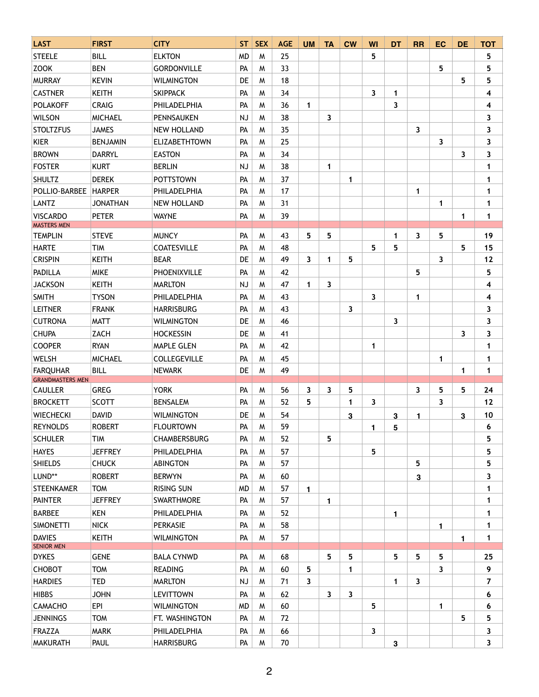| <b>LAST</b>                                | <b>FIRST</b>    | <b>CITY</b>          | <b>ST</b> | <b>SEX</b> | <b>AGE</b> | <b>UM</b>    | <b>TA</b>   | <b>CW</b> | WI | <b>DT</b>    | <b>RR</b>    | <b>EC</b> | <b>DE</b>    | <b>TOT</b>   |
|--------------------------------------------|-----------------|----------------------|-----------|------------|------------|--------------|-------------|-----------|----|--------------|--------------|-----------|--------------|--------------|
| <b>STEELE</b>                              | <b>BILL</b>     | <b>ELKTON</b>        | <b>MD</b> | W          | 25         |              |             |           | 5  |              |              |           |              | 5            |
| <b>ZOOK</b>                                | <b>BEN</b>      | <b>GORDONVILLE</b>   | PA        | W          | 33         |              |             |           |    |              |              | 5         |              | 5            |
| <b>MURRAY</b>                              | <b>KEVIN</b>    | <b>WILMINGTON</b>    | DE        | M          | 18         |              |             |           |    |              |              |           | 5            | 5            |
| <b>CASTNER</b>                             | <b>KEITH</b>    | <b>SKIPPACK</b>      | PA        | W          | 34         |              |             |           | 3  | 1            |              |           |              | 4            |
| <b>POLAKOFF</b>                            | <b>CRAIG</b>    | PHILADELPHIA         | PA        | M          | 36         | 1            |             |           |    | 3            |              |           |              | 4            |
| <b>WILSON</b>                              | <b>MICHAEL</b>  | PENNSAUKEN           | <b>NJ</b> | M          | 38         |              | 3           |           |    |              |              |           |              | 3            |
| <b>STOLTZFUS</b>                           | <b>JAMES</b>    | <b>NEW HOLLAND</b>   | PA        | M          | 35         |              |             |           |    |              | 3            |           |              | 3            |
| <b>KIER</b>                                | <b>BENJAMIN</b> | <b>ELIZABETHTOWN</b> | PA        | W          | 25         |              |             |           |    |              |              | 3         |              | 3            |
| <b>BROWN</b>                               | <b>DARRYL</b>   | <b>EASTON</b>        | PA        | M          | 34         |              |             |           |    |              |              |           | 3            | 3            |
| <b>FOSTER</b>                              | <b>KURT</b>     | <b>BERLIN</b>        | NJ        | M          | 38         |              | 1           |           |    |              |              |           |              | 1            |
| <b>SHULTZ</b>                              | <b>DEREK</b>    | <b>POTTSTOWN</b>     | PA        | M          | 37         |              |             | 1         |    |              |              |           |              | 1            |
| POLLIO-BARBEE                              | <b>HARPER</b>   | PHILADELPHIA         | PA        | M          | 17         |              |             |           |    |              | $\mathbf{1}$ |           |              | 1            |
| <b>LANTZ</b>                               | <b>JONATHAN</b> | <b>NEW HOLLAND</b>   | PA        | W          | 31         |              |             |           |    |              |              | 1         |              | 1            |
| <b>VISCARDO</b>                            | <b>PETER</b>    | <b>WAYNE</b>         | PA        | M          | 39         |              |             |           |    |              |              |           | 1            | $\mathbf{1}$ |
| <b>MASTERS MEN</b>                         |                 |                      |           |            |            |              |             |           |    |              |              |           |              |              |
| <b>TEMPLIN</b>                             | <b>STEVE</b>    | <b>MUNCY</b>         | PA        | M          | 43         | 5            | 5           |           |    | 1            | 3            | 5         |              | 19           |
| <b>HARTE</b>                               | <b>TIM</b>      | <b>COATESVILLE</b>   | PA        | M          | 48         |              |             |           | 5  | 5            |              |           | 5            | 15           |
| <b>CRISPIN</b>                             | <b>KEITH</b>    | <b>BEAR</b>          | DE        | M          | 49         | 3            | $\mathbf 1$ | 5         |    |              |              | 3         |              | 12           |
| <b>PADILLA</b>                             | <b>MIKE</b>     | PHOENIXVILLE         | PA        | M          | 42         |              |             |           |    |              | 5            |           |              | 5            |
| <b>JACKSON</b>                             | <b>KEITH</b>    | <b>MARLTON</b>       | NJ        | M          | 47         | 1            | 3           |           |    |              |              |           |              | 4            |
| <b>SMITH</b>                               | <b>TYSON</b>    | PHILADELPHIA         | PA        | M          | 43         |              |             |           | 3  |              | 1            |           |              | 4            |
| <b>LEITNER</b>                             | <b>FRANK</b>    | <b>HARRISBURG</b>    | PA        | M          | 43         |              |             | 3         |    |              |              |           |              | 3            |
| <b>CUTRONA</b>                             | <b>MATT</b>     | <b>WILMINGTON</b>    | DE        | M          | 46         |              |             |           |    | 3            |              |           |              | 3            |
| <b>CHUPA</b>                               | ZACH            | <b>HOCKESSIN</b>     | DE        | W          | 41         |              |             |           |    |              |              |           | 3            | 3            |
| <b>COOPER</b>                              | <b>RYAN</b>     | <b>MAPLE GLEN</b>    | PA        | M          | 42         |              |             |           | 1  |              |              |           |              | 1            |
| <b>WELSH</b>                               | <b>MICHAEL</b>  | <b>COLLEGEVILLE</b>  | PA        | M          | 45         |              |             |           |    |              |              | 1         |              | 1            |
| <b>FARQUHAR</b><br><b>GRANDMASTERS MEN</b> | <b>BILL</b>     | <b>NEWARK</b>        | DE        | M          | 49         |              |             |           |    |              |              |           | $\mathbf{1}$ | 1            |
| <b>CAULLER</b>                             | <b>GREG</b>     | <b>YORK</b>          | PA        | M          | 56         | 3            | 3           | 5         |    |              | 3            | 5         | 5            | 24           |
| <b>BROCKETT</b>                            | <b>SCOTT</b>    | <b>BENSALEM</b>      | PA        | W          | 52         | 5            |             | 1         | 3  |              |              | 3         |              | $12$         |
| <b>WIECHECKI</b>                           | <b>DAVID</b>    | <b>WILMINGTON</b>    | DE        | M          | 54         |              |             | 3         |    | 3            | 1            |           | 3            | 10           |
| <b>REYNOLDS</b>                            | <b>ROBERT</b>   | <b>FLOURTOWN</b>     | PA        | M          | 59         |              |             |           | 1. | 5            |              |           |              | 6            |
| <b>SCHULER</b>                             | <b>TIM</b>      | <b>CHAMBERSBURG</b>  | PA        | M          | 52         |              | 5           |           |    |              |              |           |              | 5            |
| <b>HAYES</b>                               | <b>JEFFREY</b>  | PHILADELPHIA         | PA        | M          | 57         |              |             |           | 5  |              |              |           |              | 5            |
| <b>SHIELDS</b>                             | <b>CHUCK</b>    | <b>ABINGTON</b>      | PA        | W          | 57         |              |             |           |    |              | 5            |           |              | 5            |
| LUND**                                     | <b>ROBERT</b>   | <b>BERWYN</b>        | PA        | W          | 60         |              |             |           |    |              | 3            |           |              | 3            |
| <b>STEENKAMER</b>                          | <b>TOM</b>      | <b>RISING SUN</b>    | <b>MD</b> | M          | 57         | 1.           |             |           |    |              |              |           |              | 1            |
| <b>PAINTER</b>                             | <b>JEFFREY</b>  | <b>SWARTHMORE</b>    | PA        | M          | 57         |              | 1           |           |    |              |              |           |              | 1            |
| <b>BARBEE</b>                              | KEN             | PHILADELPHIA         | PA        | M          | 52         |              |             |           |    | 1            |              |           |              | 1            |
| <b>SIMONETTI</b>                           | <b>NICK</b>     | <b>PERKASIE</b>      | PA        | W          | 58         |              |             |           |    |              |              | 1         |              | 1            |
| <b>DAVIES</b>                              | <b>KEITH</b>    | <b>WILMINGTON</b>    | PA        | W          | 57         |              |             |           |    |              |              |           |              | 1            |
| <b>SENIOR MEN</b>                          |                 |                      |           |            |            |              |             |           |    |              |              |           | $\mathbf{1}$ |              |
| <b>DYKES</b>                               | <b>GENE</b>     | <b>BALA CYNWD</b>    | PA        | M          | 68         |              | 5           | 5         |    | 5            | 5            | 5.        |              | 25           |
| СНОВОТ                                     | <b>TOM</b>      | <b>READING</b>       | PA        | M          | 60         | 5            |             | 1         |    |              |              | 3         |              | 9            |
| <b>HARDIES</b>                             | <b>TED</b>      | <b>MARLTON</b>       | <b>NJ</b> | W          | 71         | $\mathbf{3}$ |             |           |    | 1            | 3            |           |              | 7            |
| <b>HIBBS</b>                               | <b>JOHN</b>     | <b>LEVITTOWN</b>     | PA        | W          | 62         |              | 3           | 3         |    |              |              |           |              | 6            |
| CAMACHO                                    | <b>EPI</b>      | <b>WILMINGTON</b>    | <b>MD</b> | M          | 60         |              |             |           | 5  |              |              | 1         |              | 6            |
| <b>JENNINGS</b>                            | <b>TOM</b>      | FT. WASHINGTON       | PA        | M          | 72         |              |             |           |    |              |              |           | 5            | 5            |
| <b>FRAZZA</b>                              | <b>MARK</b>     | PHILADELPHIA         | PA        | W          | 66         |              |             |           | 3  |              |              |           |              | 3            |
| <b>MAKURATH</b>                            | PAUL            | <b>HARRISBURG</b>    | PA        | W          | 70         |              |             |           |    | $\mathbf{3}$ |              |           |              | 3            |